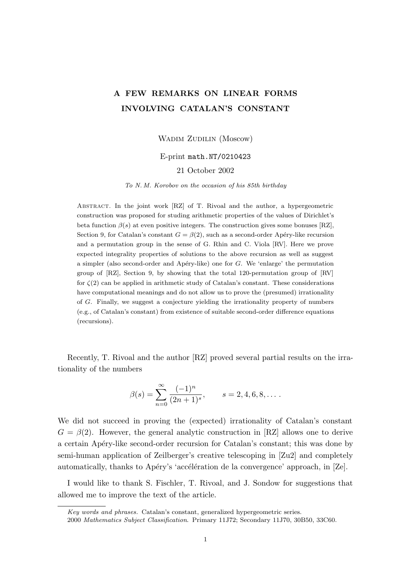# A FEW REMARKS ON LINEAR FORMS INVOLVING CATALAN'S CONSTANT

WADIM ZUDILIN (Moscow)

## E-print math.NT/0210423

# 21 October 2002

To N. M. Korobov on the occasion of his 85th birthday

Abstract. In the joint work [RZ] of T. Rivoal and the author, a hypergeometric construction was proposed for studing arithmetic properties of the values of Dirichlet's beta function  $\beta(s)$  at even positive integers. The construction gives some bonuses [RZ], Section 9, for Catalan's constant  $G = \beta(2)$ , such as a second-order Apéry-like recursion and a permutation group in the sense of G. Rhin and C. Viola [RV]. Here we prove expected integrality properties of solutions to the above recursion as well as suggest a simpler (also second-order and Apéry-like) one for  $G$ . We 'enlarge' the permutation group of [RZ], Section 9, by showing that the total 120-permutation group of [RV] for  $\zeta(2)$  can be applied in arithmetic study of Catalan's constant. These considerations have computational meanings and do not allow us to prove the (presumed) irrationality of G. Finally, we suggest a conjecture yielding the irrationality property of numbers (e.g., of Catalan's constant) from existence of suitable second-order difference equations (recursions).

Recently, T. Rivoal and the author [RZ] proved several partial results on the irrationality of the numbers

$$
\beta(s) = \sum_{n=0}^{\infty} \frac{(-1)^n}{(2n+1)^s}, \qquad s = 2, 4, 6, 8, \dots.
$$

We did not succeed in proving the (expected) irrationality of Catalan's constant  $G = \beta(2)$ . However, the general analytic construction in [RZ] allows one to derive a certain Apéry-like second-order recursion for Catalan's constant; this was done by semi-human application of Zeilberger's creative telescoping in [Zu2] and completely automatically, thanks to Apéry's 'accélération de la convergence' approach, in  $Ze$ .

I would like to thank S. Fischler, T. Rivoal, and J. Sondow for suggestions that allowed me to improve the text of the article.

Key words and phrases. Catalan's constant, generalized hypergeometric series.

<sup>2000</sup> Mathematics Subject Classification. Primary 11J72; Secondary 11J70, 30B50, 33C60.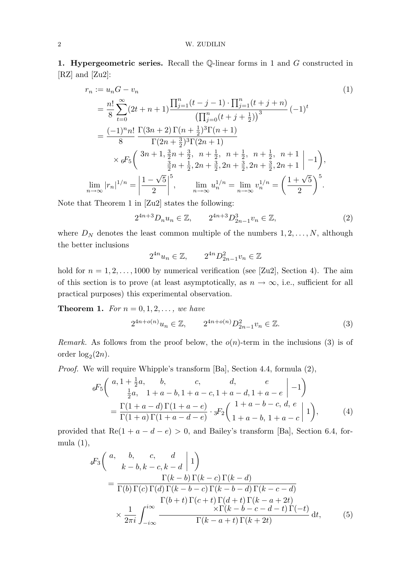1. Hypergeometric series. Recall the Q-linear forms in 1 and G constructed in [RZ] and [Zu2]:

$$
r_n := u_n G - v_n
$$
\n
$$
= \frac{n!}{8} \sum_{t=0}^{\infty} (2t + n + 1) \frac{\prod_{j=1}^{n} (t - j - 1) \cdot \prod_{j=1}^{n} (t + j + n)}{\left(\prod_{j=0}^{n} (t + j + \frac{1}{2})\right)^3} (-1)^t
$$
\n
$$
= \frac{(-1)^n n!}{8} \frac{\Gamma(3n+2) \Gamma(n + \frac{1}{2})^3 \Gamma(n + 1)}{\Gamma(2n + \frac{3}{2})^3 \Gamma(2n + 1)}
$$
\n
$$
\times {}_6F_5 \left( \frac{3n + 1, \frac{3}{2}n + \frac{3}{2}, n + \frac{1}{2}, n + \frac{1}{2}, n + \frac{1}{2}, n + 1}{\frac{3}{2}n + \frac{1}{2}, 2n + \frac{3}{2}, 2n + \frac{3}{2}, 2n + \frac{3}{2}, 2n + 1} \right) - 1 \bigg),
$$
\n
$$
\lim_{n \to \infty} |r_n|^{1/n} = \left| \frac{1 - \sqrt{5}}{2} \right|^5, \qquad \lim_{n \to \infty} u_n^{1/n} = \lim_{n \to \infty} v_n^{1/n} = \left( \frac{1 + \sqrt{5}}{2} \right)^5.
$$
\n(1)

Note that Theorem 1 in [Zu2] states the following:

$$
2^{4n+3}D_n u_n \in \mathbb{Z}, \qquad 2^{4n+3}D_{2n-1}^3 v_n \in \mathbb{Z}, \tag{2}
$$

where  $D_N$  denotes the least common multiple of the numbers  $1, 2, \ldots, N$ , although the better inclusions

$$
2^{4n}u_n \in \mathbb{Z}, \qquad 2^{4n}D_{2n-1}^2v_n \in \mathbb{Z}
$$

hold for  $n = 1, 2, \ldots, 1000$  by numerical verification (see [Zu2], Section 4). The aim of this section is to prove (at least asymptotically, as  $n \to \infty$ , i.e., sufficient for all practical purposes) this experimental observation.

**Theorem 1.** For  $n = 0, 1, 2, \ldots$ , we have

$$
2^{4n+o(n)}u_n \in \mathbb{Z}, \qquad 2^{4n+o(n)}D_{2n-1}^2v_n \in \mathbb{Z}.
$$
 (3)

Remark. As follows from the proof below, the  $o(n)$ -term in the inclusions (3) is of order  $log_2(2n)$ .

Proof. We will require Whipple's transform [Ba], Section 4.4, formula (2),

$$
6F_5\left(\begin{array}{cc} a, 1+\frac{1}{2}a, & b, & c, & d, & e\\ \frac{1}{2}a, & 1+a-b, 1+a-c, 1+a-d, 1+a-e & -1 \end{array}\right)
$$
  
= 
$$
\frac{\Gamma(1+a-d)\Gamma(1+a-e)}{\Gamma(1+a)\Gamma(1+a-d-e)} \cdot {}_3F_2\left(\begin{array}{cc} 1+a-b-c, d, e\\ 1+a-b, 1+a-c \end{array}\Big| 1\right),
$$
 (4)

provided that  $\text{Re}(1 + a - d - e) > 0$ , and Bailey's transform [Ba], Section 6.4, formula (1),

$$
{}_{4}F_{3}\left(\begin{array}{cc} a, & b, & c, & d \\ k-b, k-c, k-d & 1 \end{array}\right)
$$
  
= 
$$
\frac{\Gamma(k-b)\Gamma(k-c)\Gamma(k-d)}{\Gamma(b)\Gamma(c)\Gamma(d)\Gamma(k-b-c)\Gamma(k-b-d)\Gamma(k-c-d)}
$$
  

$$
\times \frac{1}{2\pi i} \int_{-i\infty}^{i\infty} \frac{\Gamma(b+t)\Gamma(c+t)\Gamma(d+t)\Gamma(k-a+2t)}{\Gamma(k-a+t)\Gamma(k+2t)} dt,
$$
 (5)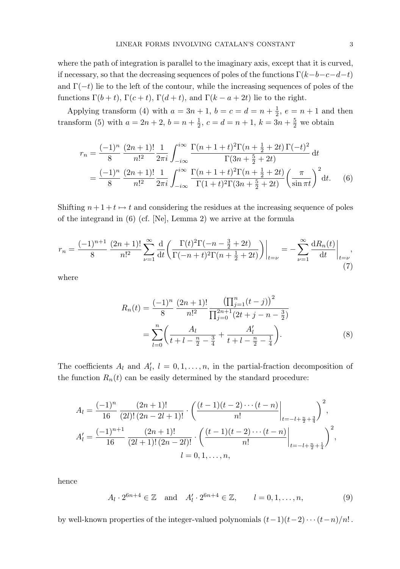where the path of integration is parallel to the imaginary axis, except that it is curved, if necessary, so that the decreasing sequences of poles of the functions  $\Gamma(k-b-c-d-t)$ and  $\Gamma(-t)$  lie to the left of the contour, while the increasing sequences of poles of the functions  $\Gamma(b+t)$ ,  $\Gamma(c+t)$ ,  $\Gamma(d+t)$ , and  $\Gamma(k-a+2t)$  lie to the right.

Applying transform (4) with  $a = 3n + 1$ ,  $b = c = d = n + \frac{1}{2}$  $\frac{1}{2}$ ,  $e = n + 1$  and then transform (5) with  $a = 2n + 2$ ,  $b = n + \frac{1}{2}$  $\frac{1}{2}$ ,  $c = d = n + 1$ ,  $k = 3n + \frac{5}{2}$  $\frac{5}{2}$  we obtain

$$
r_n = \frac{(-1)^n}{8} \frac{(2n+1)!}{n!^2} \frac{1}{2\pi i} \int_{-i\infty}^{i\infty} \frac{\Gamma(n+1+t)^2 \Gamma(n+\frac{1}{2}+2t) \Gamma(-t)^2}{\Gamma(3n+\frac{5}{2}+2t)} dt
$$
  
= 
$$
\frac{(-1)^n}{8} \frac{(2n+1)!}{n!^2} \frac{1}{2\pi i} \int_{-i\infty}^{i\infty} \frac{\Gamma(n+1+t)^2 \Gamma(n+\frac{1}{2}+2t)}{\Gamma(1+t)^2 \Gamma(3n+\frac{5}{2}+2t)} \left(\frac{\pi}{\sin \pi t}\right)^2 dt.
$$
 (6)

Shifting  $n + 1 + t \mapsto t$  and considering the residues at the increasing sequence of poles of the integrand in (6) (cf. [Ne], Lemma 2) we arrive at the formula

$$
r_n = \frac{(-1)^{n+1}}{8} \frac{(2n+1)!}{n!^2} \sum_{\nu=1}^{\infty} \frac{d}{dt} \left( \frac{\Gamma(t)^2 \Gamma(-n - \frac{3}{2} + 2t)}{\Gamma(-n+t)^2 \Gamma(n + \frac{1}{2} + 2t)} \right) \Big|_{t=\nu} = -\sum_{\nu=1}^{\infty} \frac{dR_n(t)}{dt} \Big|_{t=\nu},\tag{7}
$$

where

$$
R_n(t) = \frac{(-1)^n}{8} \frac{(2n+1)!}{n!^2} \frac{\left(\prod_{j=1}^n (t-j)\right)^2}{\prod_{j=0}^{2n+1} (2t+j-n-\frac{3}{2})}
$$
  
= 
$$
\sum_{l=0}^n \left(\frac{A_l}{t+l-\frac{n}{2}-\frac{3}{4}}+\frac{A'_l}{t+l-\frac{n}{2}-\frac{1}{4}}\right).
$$
 (8)

The coefficients  $A_l$  and  $A'_l$ ,  $l = 0, 1, \ldots, n$ , in the partial-fraction decomposition of the function  $R_n(t)$  can be easily determined by the standard procedure:

$$
A_{l} = \frac{(-1)^{n}}{16} \frac{(2n+1)!}{(2l)!(2n-2l+1)!} \cdot \left(\frac{(t-1)(t-2)\cdots(t-n)}{n!}\Big|_{t=-l+\frac{n}{2}+\frac{3}{4}}\right)^{2},
$$
  
\n
$$
A'_{l} = \frac{(-1)^{n+1}}{16} \frac{(2n+1)!}{(2l+1)!(2n-2l)!} \cdot \left(\frac{(t-1)(t-2)\cdots(t-n)}{n!}\Big|_{t=-l+\frac{n}{2}+\frac{1}{4}}\right)^{2},
$$
  
\n
$$
l = 0, 1, \ldots, n,
$$

hence

$$
A_l \cdot 2^{6n+4} \in \mathbb{Z} \quad \text{and} \quad A'_l \cdot 2^{6n+4} \in \mathbb{Z}, \qquad l = 0, 1, \dots, n,
$$
 (9)

by well-known properties of the integer-valued polynomials  $(t-1)(t-2)\cdots(t-n)/n!$ .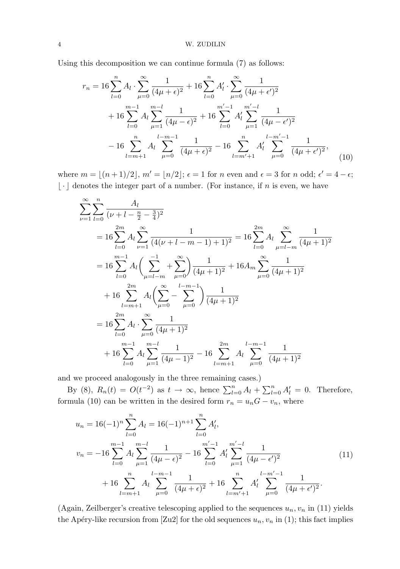Using this decomposition we can continue formula (7) as follows:

$$
r_n = 16 \sum_{l=0}^{n} A_l \cdot \sum_{\mu=0}^{\infty} \frac{1}{(4\mu + \epsilon)^2} + 16 \sum_{l=0}^{n} A'_l \cdot \sum_{\mu=0}^{\infty} \frac{1}{(4\mu + \epsilon')^2} + 16 \sum_{l=0}^{m-1} A_l \sum_{\mu=1}^{m-l} \frac{1}{(4\mu - \epsilon)^2} + 16 \sum_{l=0}^{m'-1} A'_l \sum_{\mu=1}^{m'-l} \frac{1}{(4\mu - \epsilon')^2} - 16 \sum_{l=m+1}^{n} A_l \sum_{\mu=0}^{l-m-1} \frac{1}{(4\mu + \epsilon)^2} - 16 \sum_{l=m'+1}^{n} A'_l \sum_{\mu=0}^{l-m'-1} \frac{1}{(4\mu + \epsilon')^2},
$$
(10)

where  $m = \lfloor (n + 1)/2 \rfloor$ ,  $m' = \lfloor n/2 \rfloor$ ;  $\epsilon = 1$  for n even and  $\epsilon = 3$  for n odd;  $\epsilon' = 4 - \epsilon$ ;  $\lfloor \cdot \rfloor$  denotes the integer part of a number. (For instance, if n is even, we have

$$
\sum_{\nu=1}^{\infty} \sum_{l=0}^{n} \frac{A_l}{(\nu + l - \frac{n}{2} - \frac{3}{4})^2}
$$
  
=  $16 \sum_{l=0}^{2m} A_l \sum_{\nu=1}^{\infty} \frac{1}{(4(\nu + l - m - 1) + 1)^2} = 16 \sum_{l=0}^{2m} A_l \sum_{\mu=l-m}^{\infty} \frac{1}{(4\mu + 1)^2}$   
=  $16 \sum_{l=0}^{m-1} A_l \left( \sum_{\mu=l-m}^{-1} + \sum_{\mu=0}^{\infty} \right) \frac{1}{(4\mu + 1)^2} + 16A_m \sum_{\mu=0}^{\infty} \frac{1}{(4\mu + 1)^2}$   
+  $16 \sum_{l=m+1}^{2m} A_l \left( \sum_{\mu=0}^{\infty} - \sum_{\mu=0}^{l-m-1} \right) \frac{1}{(4\mu + 1)^2}$   
=  $16 \sum_{l=0}^{2m} A_l \cdot \sum_{\mu=0}^{\infty} \frac{1}{(4\mu + 1)^2}$   
+  $16 \sum_{l=0}^{m-1} A_l \sum_{\mu=1}^{m-l} \frac{1}{(4\mu - 1)^2} - 16 \sum_{l=m+1}^{2m} A_l \sum_{\mu=0}^{l-m-1} \frac{1}{(4\mu + 1)^2}$ 

and we proceed analogously in the three remaining cases.)

By (8),  $R_n(t) = O(t^{-2})$  as  $t \to \infty$ , hence  $\sum_{l=0}^n A_l + \sum_{l=0}^n A'_l = 0$ . Therefore, formula (10) can be written in the desired form  $r_n = u_nG - v_n$ , where

$$
u_n = 16(-1)^n \sum_{l=0}^n A_l = 16(-1)^{n+1} \sum_{l=0}^n A'_l,
$$
  
\n
$$
v_n = -16 \sum_{l=0}^{m-1} A_l \sum_{\mu=1}^{m-l} \frac{1}{(4\mu - \epsilon)^2} - 16 \sum_{l=0}^{m'-1} A'_l \sum_{\mu=1}^{m'-l} \frac{1}{(4\mu - \epsilon')^2} + 16 \sum_{l=m+1}^n A_l \sum_{\mu=0}^{l-m'-1} \frac{1}{(4\mu + \epsilon')^2}.
$$
\n(11)

(Again, Zeilberger's creative telescoping applied to the sequences  $u_n, v_n$  in (11) yields the Apéry-like recursion from [Zu2] for the old sequences  $u_n, v_n$  in (1); this fact implies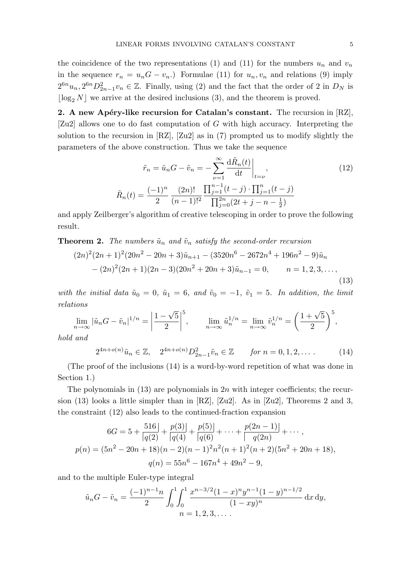the coincidence of the two representations (1) and (11) for the numbers  $u_n$  and  $v_n$ in the sequence  $r_n = u_n G - v_n$ .) Formulae (11) for  $u_n, v_n$  and relations (9) imply  $2^{6n}u_n, 2^{6n}D_{2n-1}^2v_n \in \mathbb{Z}$ . Finally, using (2) and the fact that the order of 2 in  $D_N$  is  $\lfloor \log_2 N \rfloor$  we arrive at the desired inclusions (3), and the theorem is proved.

2. A new Apéry-like recursion for Catalan's constant. The recursion in  $[{\rm RZ}]$ , [Zu2] allows one to do fast computation of G with high accuracy. Interpreting the solution to the recursion in [RZ], [Zu2] as in (7) prompted us to modify slightly the parameters of the above construction. Thus we take the sequence

$$
\tilde{r}_n = \tilde{u}_n G - \tilde{v}_n = -\sum_{\nu=1}^{\infty} \frac{d\tilde{R}_n(t)}{dt} \Big|_{t=\nu},\tag{12}
$$
\n
$$
\tilde{R}_n(t) = \frac{(-1)^n}{2} \frac{(2n)!}{(n-1)!^2} \frac{\prod_{j=1}^{n-1} (t-j) \cdot \prod_{j=1}^n (t-j)}{\prod_{j=0}^{2n} (2t+j-n-\frac{1}{2})}
$$

and apply Zeilberger's algorithm of creative telescoping in order to prove the following result.

**Theorem 2.** The numbers  $\tilde{u}_n$  and  $\tilde{v}_n$  satisfy the second-order recursion

$$
(2n)^{2}(2n+1)^{2}(20n^{2}-20n+3)\tilde{u}_{n+1} - (3520n^{6} - 2672n^{4} + 196n^{2} - 9)\tilde{u}_{n}
$$

$$
-(2n)^{2}(2n+1)(2n-3)(20n^{2} + 20n + 3)\tilde{u}_{n-1} = 0, \qquad n = 1, 2, 3, \dots,
$$

$$
(13)
$$

with the initial data  $\tilde{u}_0 = 0$ ,  $\tilde{u}_1 = 6$ , and  $\tilde{v}_0 = -1$ ,  $\tilde{v}_1 = 5$ . In addition, the limit relations √

$$
\lim_{n \to \infty} |\tilde{u}_n G - \tilde{v}_n|^{1/n} = \left| \frac{1 - \sqrt{5}}{2} \right|^5, \qquad \lim_{n \to \infty} \tilde{u}_n^{1/n} = \lim_{n \to \infty} \tilde{v}_n^{1/n} = \left( \frac{1 + \sqrt{5}}{2} \right)^5,
$$

hold and

$$
2^{4n+o(n)}\tilde{u}_n \in \mathbb{Z}, \quad 2^{4n+o(n)}D_{2n-1}^2\tilde{v}_n \in \mathbb{Z} \qquad \text{for } n = 0, 1, 2, \dots \tag{14}
$$

(The proof of the inclusions (14) is a word-by-word repetition of what was done in Section 1.)

The polynomials in  $(13)$  are polynomials in  $2n$  with integer coefficients; the recursion (13) looks a little simpler than in [RZ], [Zu2]. As in [Zu2], Theorems 2 and 3, the constraint (12) also leads to the continued-fraction expansion

$$
6G = 5 + \frac{516}{|q(2)} + \frac{p(3)}{|q(4)} + \frac{p(5)}{|q(6)} + \dots + \frac{p(2n - 1)}{|q(2n)} + \dots,
$$
  

$$
p(n) = (5n^2 - 20n + 18)(n - 2)(n - 1)^2 n^2 (n + 1)^2 (n + 2)(5n^2 + 20n + 18),
$$
  

$$
q(n) = 55n^6 - 167n^4 + 49n^2 - 9,
$$

and to the multiple Euler-type integral

$$
\tilde{u}_n G - \tilde{v}_n = \frac{(-1)^{n-1}n}{2} \int_0^1 \int_0^1 \frac{x^{n-3/2} (1-x)^n y^{n-1} (1-y)^{n-1/2}}{(1-xy)^n} dx dy,
$$
  
\n
$$
n = 1, 2, 3, \dots.
$$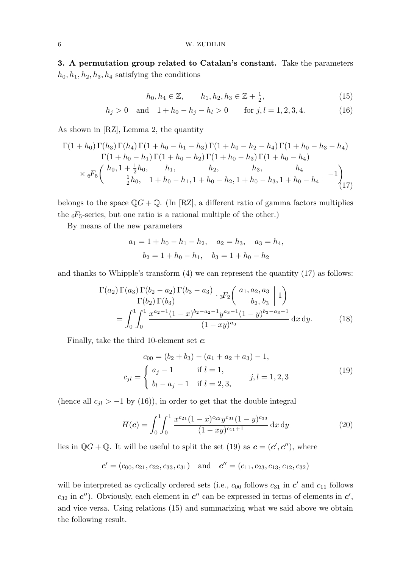3. A permutation group related to Catalan's constant. Take the parameters  $h_0, h_1, h_2, h_3, h_4$  satisfying the conditions

$$
h_0, h_4 \in \mathbb{Z}, \qquad h_1, h_2, h_3 \in \mathbb{Z} + \frac{1}{2}, \tag{15}
$$

$$
h_j > 0 \quad \text{and} \quad 1 + h_0 - h_j - h_l > 0 \qquad \text{for } j, l = 1, 2, 3, 4. \tag{16}
$$

As shown in [RZ], Lemma 2, the quantity

$$
\frac{\Gamma(1+h_0)\Gamma(h_3)\Gamma(h_4)\Gamma(1+h_0-h_1-h_3)\Gamma(1+h_0-h_2-h_4)\Gamma(1+h_0-h_3-h_4)}{\Gamma(1+h_0-h_1)\Gamma(1+h_0-h_2)\Gamma(1+h_0-h_3)\Gamma(1+h_0-h_4)}
$$
\n
$$
\times {}_6F_5\left(\begin{array}{cc} h_0, 1+\frac{1}{2}h_0, & h_1, & h_2, & h_3, & h_4 \\ \frac{1}{2}h_0, & 1+h_0-h_1, 1+h_0-h_2, 1+h_0-h_3, 1+h_0-h_4 \end{array}\Big| -1\right)_{(17)}
$$

belongs to the space  $\mathbb{Q}G + \mathbb{Q}$ . (In [RZ], a different ratio of gamma factors multiplies the  ${}_{6}F_5$ -series, but one ratio is a rational multiple of the other.)

By means of the new parameters

$$
a_1 = 1 + h_0 - h_1 - h_2
$$
,  $a_2 = h_3$ ,  $a_3 = h_4$ ,  
 $b_2 = 1 + h_0 - h_1$ ,  $b_3 = 1 + h_0 - h_2$ 

and thanks to Whipple's transform (4) we can represent the quantity (17) as follows:

$$
\frac{\Gamma(a_2)\Gamma(a_3)\Gamma(b_2-a_2)\Gamma(b_3-a_3)}{\Gamma(b_2)\Gamma(b_3)} \cdot {}_3F_2\left(\begin{array}{c} a_1, a_2, a_3 \ b_2, b_3 \end{array} \middle| 1\right)
$$

$$
= \int_0^1 \int_0^1 \frac{x^{a_2-1}(1-x)^{b_2-a_2-1}y^{a_3-1}(1-y)^{b_3-a_3-1}}{(1-xy)^{a_0}} dx dy.
$$
(18)

Finally, take the third 10-element set  $c$ :

$$
c_{00} = (b_2 + b_3) - (a_1 + a_2 + a_3) - 1,
$$
  
\n
$$
c_{jl} = \begin{cases} a_j - 1 & \text{if } l = 1, \\ b_l - a_j - 1 & \text{if } l = 2, 3, \end{cases}
$$
\n
$$
j, l = 1, 2, 3
$$
\n
$$
(19)
$$

(hence all  $c_{jl} > -1$  by (16)), in order to get that the double integral

$$
H(c) = \int_0^1 \int_0^1 \frac{x^{c_{21}}(1-x)^{c_{22}}y^{c_{31}}(1-y)^{c_{33}}}{(1-xy)^{c_{11}+1}} dx dy
$$
 (20)

lies in  $\mathbb{Q}G + \mathbb{Q}$ . It will be useful to split the set (19) as  $\mathbf{c} = (\mathbf{c}', \mathbf{c}'')$ , where

$$
c' = (c_{00}, c_{21}, c_{22}, c_{33}, c_{31})
$$
 and  $c'' = (c_{11}, c_{23}, c_{13}, c_{12}, c_{32})$ 

will be interpreted as cyclically ordered sets (i.e.,  $c_{00}$  follows  $c_{31}$  in  $c'$  and  $c_{11}$  follows  $c_{32}$  in  $c'$ ). Obviously, each element in  $c''$  can be expressed in terms of elements in  $c'$ , and vice versa. Using relations (15) and summarizing what we said above we obtain the following result.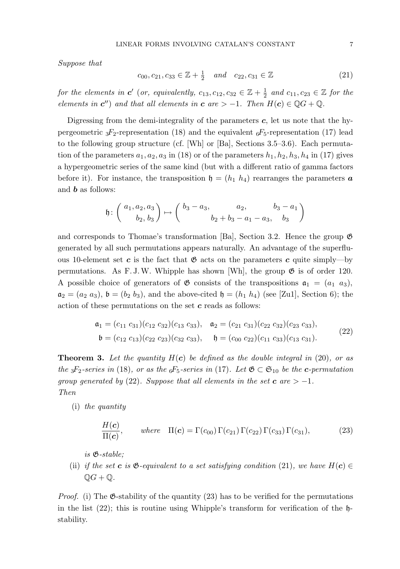Suppose that

$$
c_{00}, c_{21}, c_{33} \in \mathbb{Z} + \frac{1}{2} \quad and \quad c_{22}, c_{31} \in \mathbb{Z}
$$
 (21)

for the elements in  $c'$  (or, equivalently,  $c_{13}, c_{12}, c_{32} \in \mathbb{Z}+\frac{1}{2}$  $\frac{1}{2}$  and  $c_{11}, c_{23} \in \mathbb{Z}$  for the elements in  $c''$ ) and that all elements in  $c$  are  $> -1$ . Then  $H(c) \in \mathbb{Q}G + \mathbb{Q}$ .

Digressing from the demi-integrality of the parameters  $c$ , let us note that the hypergeometric  ${}_{3}F_{2}$ -representation (18) and the equivalent  ${}_{6}F_{5}$ -representation (17) lead to the following group structure (cf. [Wh] or [Ba], Sections 3.5–3.6). Each permutation of the parameters  $a_1, a_2, a_3$  in (18) or of the parameters  $h_1, h_2, h_3, h_4$  in (17) gives a hypergeometric series of the same kind (but with a different ratio of gamma factors before it). For instance, the transposition  $\mathfrak{h} = (h_1 \ h_4)$  rearranges the parameters  $\boldsymbol{a}$ and b as follows:

$$
\mathfrak{h}\colon \left(\begin{array}{c} a_1, a_2, a_3 \\ b_2, b_3 \end{array}\right) \mapsto \left(\begin{array}{c} b_3 - a_3, & a_2, & b_3 - a_1 \\ b_2 + b_3 - a_1 - a_3, & b_3 \end{array}\right)
$$

and corresponds to Thomae's transformation [Ba], Section 3.2. Hence the group G generated by all such permutations appears naturally. An advantage of the superfluous 10-element set c is the fact that  $\mathfrak{G}$  acts on the parameters c quite simply—by permutations. As F. J. W. Whipple has shown [Wh], the group  $\mathfrak{G}$  is of order 120. A possible choice of generators of  $\mathfrak G$  consists of the transpositions  $\mathfrak a_1 = (a_1 \ a_3),$  $a_2 = (a_2 \ a_3)$ ,  $b = (b_2 \ b_3)$ , and the above-cited  $b = (h_1 \ h_4)$  (see [Zu1], Section 6); the action of these permutations on the set  $c$  reads as follows:

$$
\mathfrak{a}_1 = (c_{11} c_{31})(c_{12} c_{32})(c_{13} c_{33}), \quad \mathfrak{a}_2 = (c_{21} c_{31})(c_{22} c_{32})(c_{23} c_{33}), \n\mathfrak{b} = (c_{12} c_{13})(c_{22} c_{23})(c_{32} c_{33}), \quad \mathfrak{h} = (c_{00} c_{22})(c_{11} c_{33})(c_{13} c_{31}).
$$
\n(22)

**Theorem 3.** Let the quantity  $H(c)$  be defined as the double integral in (20), or as the <sub>3</sub>F<sub>2</sub>-series in (18), or as the  ${}_{6}F_{5}$ -series in (17). Let  $\mathfrak{G} \subset \mathfrak{S}_{10}$  be the c-permutation group generated by (22). Suppose that all elements in the set  $c$  are  $> -1$ . Then

(i) the quantity

$$
\frac{H(\mathbf{c})}{\Pi(\mathbf{c})}, \qquad \text{where} \quad \Pi(\mathbf{c}) = \Gamma(c_{00}) \Gamma(c_{21}) \Gamma(c_{22}) \Gamma(c_{33}) \Gamma(c_{31}), \tag{23}
$$

is G-stable;

(ii) if the set **c** is  $\mathfrak{G}$ -equivalent to a set satisfying condition (21), we have  $H(c) \in$  $\mathbb{Q}G + \mathbb{Q}$ .

*Proof.* (i) The  $\mathfrak{G}\text{-stability}$  of the quantity (23) has to be verified for the permutations in the list  $(22)$ ; this is routine using Whipple's transform for verification of the  $\mathfrak{h}$ stability.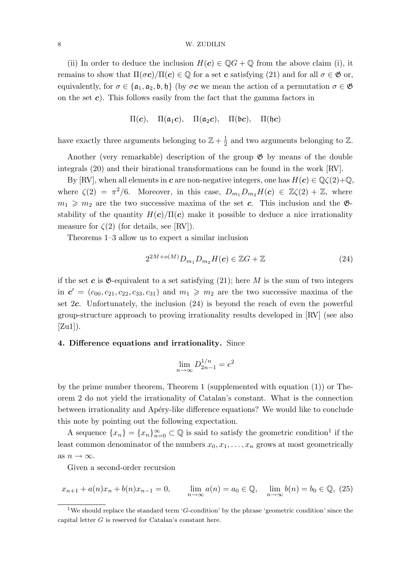#### 8 W. ZUDILIN

(ii) In order to deduce the inclusion  $H(c) \in \mathbb{Q}G + \mathbb{Q}$  from the above claim (i), it remains to show that  $\Pi(\sigma c)/\Pi(c) \in \mathbb{Q}$  for a set c satisfying (21) and for all  $\sigma \in \mathfrak{G}$  or, equivalently, for  $\sigma \in {\{\mathfrak{a}_1, \mathfrak{a}_2, \mathfrak{b}, \mathfrak{h}\}}$  (by  $\sigma \mathbf{c}$  we mean the action of a permutation  $\sigma \in \mathfrak{G}$ on the set  $c$ ). This follows easily from the fact that the gamma factors in

 $\Pi(c)$ ,  $\Pi(\mathfrak{a}_1c)$ ,  $\Pi(\mathfrak{a}_2c)$ ,  $\Pi(\mathfrak{b}c)$ ,  $\Pi(\mathfrak{h}c)$ 

have exactly three arguments belonging to  $\mathbb{Z} + \frac{1}{2}$  $\frac{1}{2}$  and two arguments belonging to  $\mathbb{Z}$ .

Another (very remarkable) description of the group  $\mathfrak{G}$  by means of the double integrals (20) and their birational transformations can be found in the work [RV].

By [RV], when all elements in c are non-negative integers, one has  $H(c) \in \mathbb{Q}\zeta(2)+\mathbb{Q}$ , where  $\zeta(2) = \pi^2/6$ . Moreover, in this case,  $D_{m_1}D_{m_2}H(c) \in \mathbb{Z}\zeta(2) + \mathbb{Z}$ , where  $m_1 \geq m_2$  are the two successive maxima of the set c. This inclusion and the  $\mathfrak{G}$ stability of the quantity  $H(c)/\Pi(c)$  make it possible to deduce a nice irrationality measure for  $\zeta(2)$  (for details, see [RV]).

Theorems 1–3 allow us to expect a similar inclusion

$$
2^{2M+o(M)}D_{m_1}D_{m_2}H(c) \in \mathbb{Z}G + \mathbb{Z}
$$
\n
$$
(24)
$$

if the set c is  $\mathfrak{G}$ -equivalent to a set satisfying (21); here M is the sum of two integers in  $c' = (c_{00}, c_{21}, c_{22}, c_{33}, c_{31})$  and  $m_1 \geq m_2$  are the two successive maxima of the set 2c. Unfortunately, the inclusion (24) is beyond the reach of even the powerful group-structure approach to proving irrationality results developed in [RV] (see also  $[Zu1]$ .

# 4. Difference equations and irrationality. Since

$$
\lim_{n \to \infty} D_{2n-1}^{1/n} = e^2
$$

by the prime number theorem, Theorem 1 (supplemented with equation (1)) or Theorem 2 do not yield the irrationality of Catalan's constant. What is the connection between irrationality and Apéry-like difference equations? We would like to conclude this note by pointing out the following expectation.

A sequence  $\{x_n\} = \{x_n\}_{n=0}^{\infty} \subset \mathbb{Q}$  is said to satisfy the geometric condition<sup>1</sup> if the least common denominator of the numbers  $x_0, x_1, \ldots, x_n$  grows at most geometrically as  $n \to \infty$ .

Given a second-order recursion

$$
x_{n+1} + a(n)x_n + b(n)x_{n-1} = 0, \qquad \lim_{n \to \infty} a(n) = a_0 \in \mathbb{Q}, \quad \lim_{n \to \infty} b(n) = b_0 \in \mathbb{Q}, \tag{25}
$$

<sup>&</sup>lt;sup>1</sup>We should replace the standard term 'G-condition' by the phrase 'geometric condition' since the capital letter  $G$  is reserved for Catalan's constant here.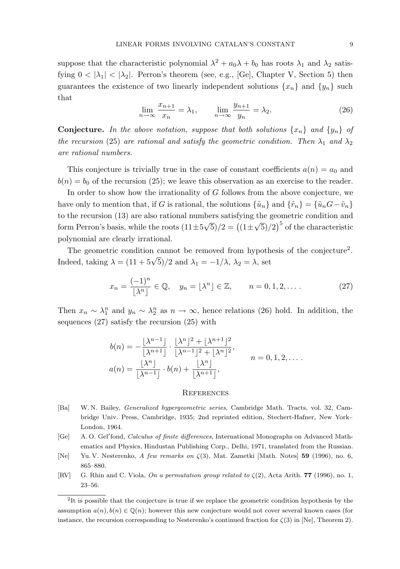suppose that the characteristic polynomial  $\lambda^2 + a_0\lambda + b_0$  has roots  $\lambda_1$  and  $\lambda_2$  satisfying  $0 < |\lambda_1| < |\lambda_2|$ . Perron's theorem (see, e.g., [Ge], Chapter V, Section 5) then guarantees the existence of two linearly independent solutions  $\{x_n\}$  and  $\{y_n\}$  such that

$$
\lim_{n \to \infty} \frac{x_{n+1}}{x_n} = \lambda_1, \qquad \lim_{n \to \infty} \frac{y_{n+1}}{y_n} = \lambda_2.
$$
 (26)

**Conjecture.** In the above notation, suppose that both solutions  $\{x_n\}$  and  $\{y_n\}$  of the recursion (25) are rational and satisfy the geometric condition. Then  $\lambda_1$  and  $\lambda_2$ are rational numbers.

This conjecture is trivially true in the case of constant coefficients  $a(n) = a_0$  and  $b(n) = b_0$  of the recursion (25); we leave this observation as an exercise to the reader.

In order to show how the irrationality of G follows from the above conjecture, we have only to mention that, if G is rational, the solutions  $\{\tilde{u}_n\}$  and  $\{\tilde{r}_n\} = \{\tilde{u}_nG - \tilde{v}_n\}$ to the recursion (13) are also rational numbers satisfying the geometric condition and form Perron's basis, while the roots  $(11\pm5\sqrt{5})/2 = ((1\pm\sqrt{5})/2)^5$  of the characteristic polynomial are clearly irrational.

The geometric condition cannot be removed from hypothesis of the conjecture<sup>2</sup>. Indeed, taking  $\lambda = (11 + 5\sqrt{5})/2$  and  $\lambda_1 = -1/\lambda$ ,  $\lambda_2 = \lambda$ , set

$$
x_n = \frac{(-1)^n}{\lfloor \lambda^n \rfloor} \in \mathbb{Q}, \quad y_n = \lfloor \lambda^n \rfloor \in \mathbb{Z}, \qquad n = 0, 1, 2, \dots \tag{27}
$$

Then  $x_n \sim \lambda_1^n$  and  $y_n \sim \lambda_2^n$  as  $n \to \infty$ , hence relations (26) hold. In addition, the sequences (27) satisfy the recursion (25) with

$$
b(n) = -\frac{\lfloor \lambda^{n-1} \rfloor}{\lfloor \lambda^{n+1} \rfloor} \cdot \frac{\lfloor \lambda^n \rfloor^2 + \lfloor \lambda^{n+1} \rfloor^2}{\lfloor \lambda^{n-1} \rfloor^2 + \lfloor \lambda^n \rfloor^2},
$$
  
\n
$$
a(n) = \frac{\lfloor \lambda^n \rfloor}{\lfloor \lambda^{n-1} \rfloor} \cdot b(n) + \frac{\lfloor \lambda^n \rfloor}{\lfloor \lambda^{n+1} \rfloor},
$$
  
\n
$$
n = 0, 1, 2, \dots.
$$

## **REFERENCES**

- [Ba] W. N. Bailey, Generalized hypergeometric series, Cambridge Math. Tracts, vol. 32, Cambridge Univ. Press, Cambridge, 1935; 2nd reprinted edition, Stechert-Hafner, New York– London, 1964.
- [Ge] A. O. Gel'fond, *Calculus of finite differences*, International Monographs on Advanced Mathematics and Physics, Hindustan Publishing Corp., Delhi, 1971, translated from the Russian.
- [Ne] Yu. V. Nesterenko, A few remarks on  $\zeta(3)$ , Mat. Zametki [Math. Notes] 59 (1996), no. 6, 865–880.
- [RV] G. Rhin and C. Viola, On a permutation group related to  $\zeta(2)$ , Acta Arith. **77** (1996), no. 1, 23–56.

<sup>&</sup>lt;sup>2</sup>It is possible that the conjecture is true if we replace the geometric condition hypothesis by the assumption  $a(n), b(n) \in \mathbb{Q}(n)$ ; however this new conjecture would not cover several known cases (for instance, the recursion corresponding to Nesterenko's continued fraction for  $\zeta(3)$  in [Ne], Theorem 2).